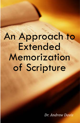# An Approach to Extended Memorization of Scripture

*Dr. Andrew Davis*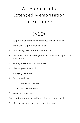# An Approach to Extended Memorization of Scripture

# INDEX

- 1. Scripture memorization commanded and encouraged
- 2. Benefits of Scripture memorization
- 3. Overcoming excuses for not memorizing
- 4. Advantages of memorizing books of the Bible as opposed to individual verses
- 5. Making the commitment before God
- 6. Choosing your first book
- 7. Surveying the terrain
- 8. Daily procedures
	- a) retaining old verses
	- b) learning new verses
- 9. Weeding the garden
- 10. Long‐term reten Ɵon and/or moving on to other books
- 11. Memorizing long books or memorizing faster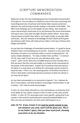# SCRIPTURE MEMORIZATION COMMANDED

Welcome to the rich and challenging journey of extended memorization of Scripture! You are about to embark on one of the most searching and rewarding exercises of spiritual and mental labor anyone could ever attempt: the memorizing of whole chapters and books of the Bible. This effort will challenge you to the depths of your being. Not simply because memorizing is hard work (it is), but because the verses themselves will search your souls with the light of God's perfect Word. Some days memorizing are harder than others, and it gets harder as you get older and busier. But the rewards of knowledge of God's Word and of growing intimacy with Christ will make all your labor in the face of these challenges worthwhile.

As you face the challenges of extended memorization, it is good to know whether God is commanding you to do this. Scripture is very clear that God does not want us to innovate when it comes to pleasing Him: He wants simple obedience. "To obey is better than sacrifice." (1 Samuel 15:22) Jesus said "If you love me, you will obey what I command." (John 14:15) Now the incredible beauty of the Christian life is that we learn that the Lord will enable us to keep all His commands by the power of the Holy Spirit. Ezekiel 36:27 promises that God will put His Spirit in us and move us to follow His commands and be careful to keep His laws. If this is so, the amazing power of the New Covenant in Christ is that God's commands become promises of what He will do in our lives by His Spirit.

So, has God commanded us to memorize Scripture? Yes, I believe He has in many places, and that Scripture encourages memorization in other places. Let's look at some key passages.

In John 15, Jesus likens Himself to a vine and believers as branches that must abide (or live, dwell, remain) in Him in order to stay alive and be fruitful. In John 15:7-8, Jesus gets even more specific, saying that if we remain in Him and His words (plural!) remain/live/dwell/abide in us, then we may ask whatever we wish and it will be given to us.

#### *John 15:7‐8 If you remain in me and my words remain in you, ask whatever you wish, and it will be given you. This is to my Father's glory, that you bear much fruit, showing yourselves to be my disciples.*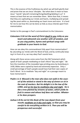This is the essence of the fruitfulness by which we will both glorify God and prove that we are Jesus' disciples. But what does it mean to have Jesus' "words" (plural!) remaining/living/dwelling/abiding in us? It means at least that we can remember them. More than that, it means that they are captivating our minds and hearts, multiplying and spreading like yeast within us, dominating our heart more and more. It is hard for me to see how this can be done as fully as Jesus intends apart from memorization.

Similar to this passage is Paul's commandment to the Colossians:

#### *Colossians 3:16 Let the word of Christ dwell in you richly as you teach and admonish one another with all wisdom, and as you sing psalms, hymns and spiritual songs with graƟtude in your hearts to God.*

How can we obey this commandment fully apart from memorization? By saturating our minds with the Word of God, and by continually keeping it in front of us, we may obey Paul's words here.

Along with these verses come some from the Old Testament which speak of God's people meditating on God's Word "day and night." Before the invention of the moveable type printing press by Gutenburg in 1439, Bibles were copied by hand and extremely expensive. Only a small percentage of God's people would have had their own copies of God's Word. So to meditate "day and night" on a passage meant to have memorized it:

- *Psalm 1:1‐3 Blessed is the man who does not walk in the coun‐sel of the wicked or stand in the way of sinners or sit in the seat of mockers. But his delight is in the law of the LORD, and on his law he meditates day and night. He is like a tree planted by streams of water, which yields its fruit in season and whose leaf does not wither. Whatev‐ er he does prospers.*
- *Joshua 1:8 Do not let this Book of the Law depart from your mouth; meditate on it day and night, so that you may be careful to do everything wriƩen in it. Then you will be prosperous and successful.*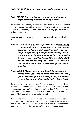#### *Psalm 119:97 Oh, how I love your law! I meditate on it all day long.*

#### *Psalm 119:148 My eyes stay open through the watches of the night, that I may meditate on your promises.*

It is the same for us today, even in our blessed age in which the Word of God is so readily accessible to so many of God's people. Meditating on Scripture continually ("day and night" or "all day long") is very difficult without memorization.

Some passages in Proverbs speak of storing up God's commands within us:

*Proverbs 2:1‐6 My son, if you accept my words and store up my commands within you, turning your ear to wisdom and applying your heart to understanding, and if you call out for insight and cry aloud for understanding, and if you look for it as for silver and search for it as for hidden treasure, then you will understand the fear of the LORD and find the knowledge of God. For the LORD gives wis‐ dom, and from his mouth come knowledge and under‐ standing.* 

#### *Proverbs 7:1‐3 My son, keep my words and store up my com‐ mands within you. Keep my commands and you will live; guard my teachings as the apple of your eye. Bind them on your fingers; write them on the tablet of your heart.*

If you read these two passages carefully, they seem to lead directly to the discipline of memorization. What does it mean to "store up God's commands within you" apart from memorizing them? The second passage speaks of writing the teachings of God on the "tablet of your heart." That seems like memorization to me!

Perhaps one of the best known verses on memorization comes from Psalm 119, that marvelous and complex poem of praise for the perfection of God's Holy Word. In verse 9, we have a clear recommendation of memorization, coupled with a powerful motive—personal holiness: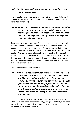#### *Psalm 119:11 I have hidden your word in my heart that I might not sin against you.*

So also Deuteronomy 6 commands Jewish fathers to have God's word "upon their hearts" and to "sharpen them" (the literal Hebrew word translated, "impress"):

#### *Deuteronomy 6:6‐7 These commandments that I give you today are to be upon your hearts. Impress (lit. "sharpen") them on your children. Talk about them when you sit at home and when you walk along the road, when you lie down and when you get up.*

If you read these vital words carefully, the strong sense of memorization will come clearly to the fore. What does it mean to have these commandments (plural!) "upon our hearts"? I am not saying that memorization is sufficient to fulfill this, but it may well be necessary—or at least helpful! And how can you talk about the commands of God so continually with your children while walking along the road if you can't recite their content? The word "impress" ("sharpen") implies a continually repeated hearing of God's commands... it's going on all the time. Again, that points to memorization.

Finally, consider the words of James 1:

#### *James 1:22‐25 Do not merely listen to the word, and so deceive yourselves. Do what it says. Anyone who listens to the word but does not do what it says is like a man who looks at his face in a mirror and, after looking at himself, goes away and immediately forgets what he looks like. But the man who looks intently into the perfect law that gives freedom, and con Ɵnues to do this, not forge ƫng what he has heard, but doing it‐‐ he will be blessed in what he does.*

What could be clearer than this? If we do not forget the Word of God after we've read it but rather continually gazing into its truth, what does it mean but to remember it? And another word for continually remembering the Word is memorizing it.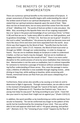# THE BENEFITS OF SCRIPTURE MEMORIZATION

There are numerous spiritual benefits to the memorization of Scripture. A proper assessment of these benefits begins with understanding the role of the written word of God in our spiritual development. Jesus Christ openly stated that our spiritual existence depends upon the word of God: "Man does not live on bread alone, but on every word that comes from the mouth of God." (Matthew 4:4) The words of God are written in only one place: the Bible. Also, according to the Apostle Peter one of our ongoing responsibilities is to "grow in the grace and knowledge of our Lord Jesus Christ," (2 Peter 3:18) and that we are to "make every e ffort to add to our faith goodness, and to goodness knowledge…" (2 Peter 1:5). But how are we to grow? Growth in the Lord is called "sanctification," the process by which we become more and more like Jesus Christ and more and more separated from the world. Jesus Christ says that happens by the Word of God: "Sanctify them by the truth; your word is truth." (John 17:17) However, the Word of God must enter us through our MIND—through our understanding—in order to change our hearts. Thus we are to meditate deeply on Scripture in order to understand it better, so that our hearts may be changed. And we are to meditate on "**every** word that comes from the mouth of God." There is no more useful discipline to this careful process of verse by verse meditation than memorization. Memorization is not the same as meditation, but it is almost impossible for someone to memorize a passage of Scripture without somewhat deepening his/her understanding of those verses. Plus, once the passage is memorized, a lifetime of reflection is now available through ongoing review... while driving on long trips, while walking on beaches, while conversing with friends, memorized verses can flow from you and cause a deepening of understanding.

Furthermore, these verses also sanctify us by causing us to hate sin and to determine to fight it vigorously. Through memorization, we are able to stand in the moment of temptation through the "sword of the Spirit, which is the Word of God." (Ephesians 6:17) Therefore the Psalmist says, "How can a young man keep his way pure? By living according to your word. I have hidden your word in my heart that I might not sin against you." (Psalm 119:9,11)

In addition, the word sanctifies us by transforming our entire worldview from secular to heavenly: "Do not be conformed any longer to the pattern of this world, but be transformed by the renewing of your mind. Then you will be able to test and approve what God's will is—his good, pleasing, and perfect will." (Romans 12:2) The "renewing of your minds" happens by the flow of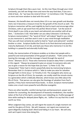Scripture through them like a pure river. As this river flows through your mind constantly, you will see things more and more the way God does, if you are a child of God… for "we have the mind of Christ." (1 Corinthians 2:16) This gives us more and more wisdom to deal with this world.

However, this benefit does not merely bless US in our own growth and development, but it becomes a treasure trove for the growth of the church as well. The Scripture memorizer will be used mightily by God to teach and encourage other Chris Ɵans, with an apt word from the perfect Word of God: "Let the word of Christ dwell in you richly as you teach and admonish one another with all wisdom..." (Colossians 3:16) How better can you obey Colossians 3:16 than by Scripture memoriza Ɵon? The "word of Christ" will indeed "dwell in you richly" as you memorize it, and then work it over in your mind through meditation. Then you will most certainly be useful to God to "teach and admonish" another brother or sister. Scripture builds the Church to its final doctrinal and practical maturity (Ephesians 4:13-16), and God uses those who memorize it to do this building in a powerful and eternally fruitful way.

Finally, the memorization of Scripture enables us to bless lost people with a powerful and vivid presentation of the gospel of salvation. "Faith comes from hearing the message, and the message is heard through the word of Christ." (Romans 10:17) Those who memorize Scripture obey Peter's command in this regard: "Always be prepared to give an answer to everyone who asks you to give a reason for the hope that you have." (1 Peter 3:15) The "prepara Ɵon" Peter had in mind is powerfully done by memorizing Scripture. Remember that it is Scripture which is "able to make you wise for salvation through faith in Christ Jesus." (2 Timothy 3:15) The evangelist who stores up Scripture on the life of Christ, for example, can vividly retell the miracle stories to a generation which is biblically illiterate, which knows very little about the life of Christ. That person can also give the theology of salvation from Paul's epistles, if they have memorized those books. In short, Scripture memorization makes one a much more powerful and effective evangelist.

There are other benefits: comfort during trials and bereavement, power and wisdom for counseling, the development of heavenly-mindedness, the manifestation of the fruit of the Spirit, conviction over indwelling sin, fruitful passage of time while waiting for delayed plane flights, etc. Suffice it to say that this is well worth our Ɵme.

When Judgment Day comes, we will regret the waste of a single moment not used for the glory of Christ. We will, however, not regret one moment we spent diligently studying God's Word and hiding it in our heart. We will only wish we'd spent more time doing this.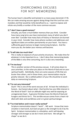# OVERCOMING EXCUSES FOR NOT MEMORIZING

The human heart is deceitful and twisted in so many ways (Jeremiah 17:9). We can make amazing excuses against doing things that the Lord has commanded, and that would be richly beneficial to us. I want to expose and refute very briefly a number of the more common excuses:

#### **1) "I don't have a good memory"**

Actually, you have a much better memory than you think. Consider how many song lyrics you have memorized, many of which you don't even like! Consider how many facts of history or literature are burned in your mind. Consider how many phone numbers and addresses and significant dates are written permanently on your heart. You have a sufficiently good memory to begin memorizing Scripture. And the more you do, the better your memory will become.

#### **2) "It will take too much Ɵme"**

This is really an exposure of your priority structures. We make time for whatever is truly important to us. I don't deny that memorizing books of the Bible is very time consuming, but it is also very rewarding.

#### **3) "I'm too busy"**

This is another version of the previous excuse. It all comes down to your priorities, to the value you place on the Word of God and on your spiritual health. Admittedly, there are some seasons of life that are busier than others, and in those times, your memorization may be greatly reduced. But a settled pattern of your life should be to work daily on memorizing Scripture.

#### **4) "I'm not very interested"**

Ouch! This is one of the worst excuses of all. At least the individual is honest... but honest about what—that he/she has very little interest in the Word of God?! Such an attitude might very well be exposing an unregenerate heart. A genuine Christian loves the Word of God and hungers and thirsts for it. This terrible excuse comes from a heart riddled with idols and worldliness and is in great spiritual danger.

#### **5) "I've tried before and it never really worked"**

Scripture memorization doesn't "work"... WE work. I know that memoriza Ɵon is hard work, but God can give us the strength to do it by His Spirit. Scripture memorization is a discipline, and it will develop stronger and stronger as we do it more and more. We will get "in shape" as we do it.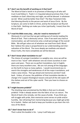#### **6) "I don't see the benefit of working on it that hard"**

The Word of God is lavish in its promises of blessing to all who will trust it and follow it. Psalm 1:1-3 (quoted above) promises that, if we meditate on God's Word day and night, we will be blessed in whatever we do! What could be better than that? The New Testament links that blessing directly to the person and work of Jesus Christ. By the Scripture, we come to faith in Christ, and by the Scripture we flourish in that faith. Nothing can make you richer (spiritually, I mean) than the Word of God!

#### **7) "I read the Bible every day… why do I need to memorize it?"**

Obviously it is not true that we get nothing out of merely reading the Word of God. That is obviously untrue. Even if we work very hard at memorization, we will memorize only a small percentage of the overall Bible. We will get value out of whatever we read from God's Word. But I believe the value is proportional to our understanding and internalization of the Word. The more deeply we meditate and absorb those truths, the more completely we will be blessed.

#### **8) "I don't know what translaƟon to use"**

The choice of a proper translation is a weighty one, since we will be more or less "stuck" with whatever one we invest ourselves in over years and years. There are no perfect translations, but in English, there are many excellent ones. We are rich among all the languages on the Earth to have so many options. I would recommend you research the strengths and weaknesses of all the major translations, and make a wise choice. Then go ahead and memorize and don't look back. Unless, of course, the publisher of that translation decides to change it for suspect theological reasons and pull all the old copies off the shelves and out of the cyber-world. Then you have to choose another one.

#### **9) "I might become prideful"**

The shocking news proclaimed by the Bible is that you're already prideful! Pride is deeply woven into the fabric of our sin nature. The Word of God is the remedy, not the cause of pride. If you think you will struggle with pride, then memorize some verses on pride and/or humility. But refraining from memorizing because you might get prideful is foolish. Rather ask God to keep you humble as you learn the richness of His Word.

#### **10) "I don't know how to do it"**

That is what this booklet is for. I pray it will help you!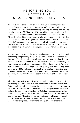# MEMORIZING BOOKS IS BETTER THAN MEMORIZING INDIVIDUAL VERSES

Jesus said, "Man does not live on bread alone, but on **every** word that comes from the mouth of God." (Matthew 4:4) Paul said "**All** Scripture is God-breathed, and is useful for teaching rebuking, correcting, and training in righteousness…" (2 Timothy 3:16) Paul told the Ephesian elders in Acts 20:27, "I have not hesitated to proclaim to you the whole will of God." Memorizing individual verses tends to miss intervening verses that the individual does not feel are as significant. If we continue to focus only on our "favorite" passages of Scripture, we may well miss something new that God wants to say to the church through a neglected portion of His Word. God does not speak any word in vain, and there are no wasted passages of Scripture.

This approach also aids in the proper teaching of the Word. The best mode of teaching and preaching is expository—setting forth in good order what God says. Preaching topically, while necessary from time to time, is not the best standard mode of ministry, for the pastor/teacher will tend to say no more than what he already has understood from those "favorite" verses. But a teacher who goes through the entire passage will undoubtedly open up a new world to his hearers, exciting them with observations they are not likely to have seen before. Thus, memorizing books leads to a constant discovery of new insights, which keeps love for the Word vibrant and thrilling.

Also, since much of Scripture is written to make a rational case, there is a flow of argumentation that is missed if individual verses are memorized. But memorizing entire books verse by verse enables the person to go easily from the "trees to the forest" and back again. This person will be able to tell you the overall flow of the book of Galatians, for example, as well as how each paragraph fits into this flow, and how each verse contributes to each paragraph. Thus, there is far less likelihood of taking verses out of context when enƟre books are memorized. But those who memorize individual verses are particularly prone to taking verses out of context.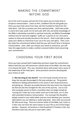# MAKING THE COMMITMENT BEFORE GOD

Go to the Lord in prayer and ask Him if He wants you to invest time in Scripture memorization. Listen to Him, confident that He will guide you. Once you have that sense from God, ask Him humbly for help from the Holy Spirit. Ask Him to protect you from spiritual pride… God hates pride in every form (see Isaiah 2:6-22 and Luke 18:9-14), and while knowledge of the Bible is absolutely essential to spiritual maturity, yet Biblical knowledge without love for God and neighbor "pu ffs up" a person (1 Cor. 8:2) and is useless to God and actually harmful to the church. God is well able to take away your ability to memorize if you use it for your own glory. Then, humbly make the commitment before God that you will invest time in Scripture memorization. Later, after you choose your book to memorize, you will have the opportunity to make a written covenant before God concerning your commitment.

# CHOOSING YOUR FIRST BOOK

Once you have sensed God's leadership and have made the commitment before God that you will memorize a whole book of the Bible, the next step is to choose the book. This, too, should be done with prayer and a sense of the leadership of the Holy Spirit. Some practical concerns should guide your choice as well:

1) **Not too long (or too short?)**: Your first book should not be too long, lest you get discouraged in the way and give up. The greatest obstacle to lasting achievement in this arena is lack of perseverance... just giving up. We give up usually because the way seems too long and we feel we lack the strength for the rest of the journey. Just as one who someday wants to finish a marathon does not begin simply by running 26.2 miles but must rather work up to that level, so it is also with extended Scripture memorization. You must get the discipline deeply rooted in your daily habits and you must develop your memory skills before you can attempt a really long book. Start with one around 90-160 verses long. There are shorter books of the Bible, but 2 John or 3 John may not have the same impact on your life as one of the longer epistles. However, all Scripture is God-breathed (2 Timothy 3:16), and therefore God may call you to start with 2 John.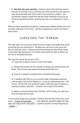2) **One that sƟrs your passions**: Choose a book that God has used in the past to minister to you, and that you think would be most useful in your personal walk with Christ and in your ministry to others. You should also choose a book that still has some mysteries to you (as all Scripture should and does), and that you see as an adventure in learning.

After you have assessed your options, bring various options before the Lord in prayer and listen to His voice. Ask Him to guide you, and He will direct your choice.

# SURVEYING THE TERRAIN

The next step is to survey the entire book for length, and decide how quickly you feel you can memorize it. Perhaps you can start at one verse per day, six days per week. I always recommend taking one day off per week so you don't get burned out, or to take up the slack for days in which you are sick or exceptionally busy.

The way you survey the terrain is this:

1) Count the number of verses in the entire book.

2) Divide that number by the number of verses you will memorize per week. This is how many weeks the book should take you.

3) Look at a calendar and determine a tentative finish date.

4) If needed, add 10% so as to not feel under tremendous pressure until you get used to this lifestyle (i.e. if you are doing Ephesians-155 verses—at the rate of 6 verses per week, it will take you 26 weeks, or exactly 6 months; add 10% —3 weeks—for a total of 29 weeks).

5) Make a covenant before the Lord that, with his help, you will memorize this book by this date:

"Lord, having sought you in prayer, I believe that you have led me to memorize *(name of the book)* . I now dedicate myself to begin this task with your help and for your glory. I commit myself to memorizing this by (date) ."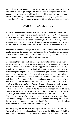Sign and date the covenant, and put it in a place where you can get to it regularly when the times get tough. The purpose of surveying the terrain is to mark out a reasonable pace which will make achievement of your goal a probability. It will teach you how much you need to do every day, and when you should finish. The survey leads to a covenant that helps you keep persevering.

# DAILY PROCEDURES

**Priority of reviewing old verses:** Always give priority in your mind to the retaining of old verses even over the learning of new ones. What's the point in going on to new ones if you don't hold onto the old? This doesn't mean you should re-memorize the old ones… just that you should begin every day's work with review of old verses. Look on that as what you need to do to earn the privilege of acquiring some precious new verses. (Work before play!)

**Repetition over time:** Saying a verse one hundred times in one day is not as helpful as saying it every day for one hundred days. The absolute key to successful Scripture memorization is repetition over a long time period. This is how you retain old verses while learning new ones.

**Memorizing the verse numbers:** An important note is that it is well worth the extra effort to memorize the verse numbers as if they were part of each verse. This will help prevent you from dropping out verses or even whole paragraphs when you're reciting the book all the way through. It will also help you in being able to pick individual verses out to quote to someone for ministry or evangelistic purposes. Finally, it will help you to be able to recall the verses as you are reading Christian books that cite them... you won't have to look them up. Ephesians 1:1-3's verse numbers would be said like this: "*One‐ one*. Paul, an apostle of Christ Jesus by the will of God, to the saints in Ephesus, the faithful in Christ Jesus; *One‐two* Grace and peace to you from God our Father and the Lord Jesus Christ. One-three Praise be to the God and Father of our Lord Jesus Christ…" etc. Longer verse numbers are no di fferent… Ephesians 6:11 would be "*Six‐eleven.* Put on the full armor of God so that you can take your stand against the devil's schemes." Acts 27:25-26 would be "*Twenty‐seven twenty‐five.* So keep up your courage, men, for I have faith in God that it will happen just as he told me. *Twenty‐seven twenty‐six.*, Nevertheless, we must run aground on some island." Don't short-cut this discipline. It actually makes memorization easier in the long run.

**Photographing the verses with your eyes:** Memorization is partly visual. This is not to say that blind people can't memorize the Bible, but just that the memorization process is connected very closely to the eye. Read each new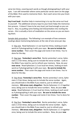verse ten times, covering each words as though photographing it with your eyes. I can still remember where some particular verses were on the page of the Bible I first used to memorize them. Burn each verse into your brain with your eyes.

**Say it out loud:** Another help in memorizing is to say the verse out loud to yourself. The additional sensory input to your brain helps the memorization process. It doesn't have to be very loud, just loud enough so you can hear it. Also, try putting some feeling and interpretation into reciting the verses... this is actually a form of meditation on the verses as you are learning them.

Sample daily procedure: The following is an example of how someone could go about memorizing Ephesians at the rate of one verse per day:

1) Day one: Read Ephesians 1:1 out loud ten times, looking at each word as if photographing it with your eyes. **Be sure to include the verse number**. Then cover the page and recite it ten times. You're done for the day.

2) Day two: **Yesterday's verse first.** Recite yesterday's verse, Ephesians 1:1 ten times, being sure to include the verse number. Look in the Bible if you need to, just to refresh your memory. Now, do your **new verse.** Read Ephesians 1:2 out loud ten times, looking at each word as if photographing it with your eyes. **Be sure to include the verse number**. Then cover the page and recite it ten times. You're done for the day.

3) Day three: **Yesterday's verse first.** Recite yesterday's verse, Ephesians 1:2 ten times, being sure to include the verse number. Again, you should look in the Bible if you need to, just to refresh your memory. **Old verses next, altogether:** Recite Ephesians 1:1-2 together once, being sure to include the verse numbers. Now, do your **new verse**. Read Ephesians 1:3 out loud ten times, looking at each word as if photographing it with your eyes. **Be sure to include the verse number**. Then cover the page and recite it ten times. You're done for the day.

4) Day four: **Yesterday's verse first.** Recite yesterday's verse, Ephesians 1:3 ten times, being sure to include the verse number. Again, you should look in the Bible if you need to, just to refresh your memory. **Old verses next, altogether:** Recite Ephesians 1:1-3 together once, being sure to include the verse numbers. Now, do your **new**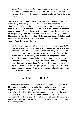**verse**. Read Ephesians 1:4 out loud ten times, looking at each word as if photographing it with your eyes. **Be sure to include the verse number**. Then cover the page and recite it ten times. You're done for the day.

This cycle would continue through the entire book. Obviously, the "old **verses altogether"** stage will soon swell to take the most time of all. That's exactly the way it should be. The entire book of Ephesians can be read at a reasonable rate in less than fifteen minutes. Therefore, the "old **verses altogether"** stage of your review should not take longer than that on any given day. Do it with the Bible ready at hand, in case you draw a blank or get stuck… there's no shame in looking, and it actually helps to nail down troublesome verses so they will never be trouble again. Therefore, your 60<sup>th</sup> day should look like this:

60) Day sixty: (eight days off in that span means you're on your  $52<sup>nd</sup>$ new verse, which would be Ephesians 3:7) **Yesterday's verse first.** Recite yesterday's verse, Ephesians 3:6 ten times, being sure to include the verse number. Again, you should look in the Bible if you need to, just to refresh your memory. **Old verses next, altogether:** Recite Ephesians 1:1-3:6 together once, being sure to include the verse numbers. Look in the Bible if you need to, so this process won't take too long. Now, do your **new verse**. Read Ephesians 3:7 out loud ten times, looking at each word as if photographing it with your eyes. **Be sure to include the verse number**. Then cover the page and recite it ten times. You're done for the day.

## WEEDING THE GARDEN

As you recite a book over a long period of time without looking at the Bible, you will gradually begin to make little mistakes or leave verses out (again, this is why memorizing verse numbers is so helpful). In other words, "weeds" will start to grow in the garden of your mind. However, to "weed the garden," once a week, read through the book, looking at each verse carefully with your eyes. This will be in lieu of your "old verses next, altogether" daily task. This simple discipline will correct errors—this will "weed the garden."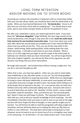# LONG-TERM RETENTION AND/OR MOVING ON TO OTHER BOOKS

Assuming you continue this procedure in Ephesians with no missed days (other than your one day o ff per week), you should be done with the whole book in 26 weeks. When you have learned Ephesians 6:24, "*Six twenty‐four*. Grace to all who love our Lord Jesus Christ with an undying love." You should stop to celebrate…get on your knees and give thanks to God for His goodness to you!

But after your celebration is done, you need to get back to work. If you have done the **"old verses altogether"** stage faithfully, this next stage should not be overly burdensome, even though it may seem like it will: **recite the en Ɵre book from memory for one hundred consecu Ɵve days**. If you have done your work well, after about the second week you probably won't even need the Bible anywhere near you while you do this. Thus, you can do this step while in the shower, while driving, while washing dishes, while walking down the road, while exercising... it will add no extra time to your busy schedule. What is more, it is in this stage that you begin to see the scope of the entire book of Ephesians (or whatever book you have memorized). You will see large themes that unite chapters together, you will see the flow of the argument, you will discover new things that you never knew before.

Be tough with yourself… one hundred days without missing a single one! You can do it, and you'll be glad you did.

When that is over, you have two options: either you can seek to retain Ephesians indefinitely as you add other books, or you can "kiss the book goodbye" and devote your attention to acquiring new books. While there are advantages to trying to retain old books indefinitely, at some point most people will reach a satura Ɵon level and no longer be able to learn new books while holding on to all the books they've learned in the past. It's a rare person who can hold onto limitless old verses while continually adding new ones. Everyone will come to an end of what they can hold on the "desktop" of their minds—verses readily accessible, ready for quotation. Now, just because you "kiss the book goodbye" doesn't mean you will forget it entirely. The meaning of Ephesians will stick with you, and so will your specific knowledge of all its teachings. You will immediately remember what you know so well as soon as you look at the page, and you will never forget the flow of thought, or even specific insights you've learned. You will forever be able to read the paragraphs with deep insight and sensitivity, and you will know what you're looking for when you flip there to confirm a cross-reference. The Holy Spirit will be able to bring back to mind whatever verses He wants to use to convict you of sin or strengthen your heart or for witnessing. It's all still there—it's just subterranean now! If you should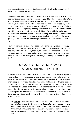ever choose to return and get it uploaded again, it will be far easier than if you'd never memorized it before.

The reason you would "kiss the book goodbye" is to free you up to learn new books without requiring a major change in your lifestyle—entering a Scripture Memorization monastery or cult in which all you do with your life is memorize! If you find that your intake of new books is hampered by seeking to retain old books, then… "Kiss the book goodbye!" Why? For the sake of all the new insights you will gain by learning a new book of the Bible. Not many people will complete memorizing the whole Bible. There will always be more memorization work you can do. So keep learning new books. If on the other hand you do not go on to memorize a new book, then don't "kiss the book goodbye." I'd rather have you doing some memorization than no memorization.

Now if you are one of those rare people who can possibly retain seemingly limitless old books such that you are in no way hindered in memorizing new books by retaining old books, then try this approach: stick the book in a slot (Monday morning, let's say), and recite on Monday morning for the rest of your life. You will never forget it. However, don't forget to "weed the garden".

# MEMORIZING LONG BOOKS & MEMORIZING FASTER

After you've taken six months with Ephesians at the rate of one verse per day, you may feel that you're ready to memorize a longer book. If, for example, you memorized Romans, you would be looking at 432 verses. At the rate of one verse per day, that's close to a year and a half (with a 10% fudge factor in there). That may be too long for you… you're ready to pick up the pace. When I memorized the Gospel of Matthew, I did it at the rate of 36 verses per week... six per day, six days per week. It took me about 9 months, since I didn't maintain that pace the whole time... but Matthew is 1068 verses long... a verse a day would have been much too slow. Let's look at how to do multiple verses in a single day:

1) Day one: Read Matthew 1:1 out loud ten times, looking at each word as if photographing it with your eyes. **Be sure to include the verse number**. Then cover the page and recite it ten times. Repeat for verses 2 through 6, being sure to include the verse numbers. Then, recite the whole six verse section, Matthew 1:1-6, ten times. You're done for the day.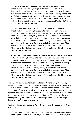#### 2) Day two: **Yesterday's verses first.** Recite yesterday's verses,

Matthew 1:1-6, ten times, being sure to include the verse numbers. Look in the Bible if you need to, just to refresh your memory. Now, do your new verses. Read Matthew 1:7 out loud ten times, looking at each word as if photographing it with your eyes. **Be sure to include the verse number**. Then cover the page and recite it ten times. Repeat for Matthew 1:8-12. Then, recite the whole new six verse section, Matthew 1:7-12, ten times. You're done for the day.

3) Day three: **Yesterday's verses first.** Recite yesterday's verses, Matthew 1:7-12, ten times, being sure to include the verse number. Again, you should look in the Bible if you need to, just to refresh your memory. Old verses next, altogether: Recite Matthew 1:1-12 together once, being sure to include the verse numbers. Now, do your **new verses**. Read Matthew 1:13 out loud ten times, looking at each word as if photographing it with your eyes. **Be sure to include the verse number**. Then cover the page and recite it ten times. Repeat for Matthew 1:14-18. Then, recite the whole new six verse section, Matthew 1:13-18, ten times. You're done for the day.

4) Day four: Yesterday's verses first. Recite yesterday's verses, Matthew 1:13-18, ten times, being sure to include the verse number. Again, you should look in the Bible if you need to, just to refresh your memory. **Old verses next, altogether:** Recite Matthew 1:1-18 together once, being sure to include the verse numbers. Now, do your **new verses**. Read Matthew 1:19 out loud ten times, looking at each word as if photographing it with your eyes. **Be sure to include the verse number**. Then cover the page and recite it ten times. Repeat for Matthew 1:20-24. Then, recite the whole new six verse section, Matthew 1:19-24, ten times. You're done for the day.

The ongoing review (the **"old verses altogether"** stage) will get unwieldy once you're at chapter 7 or 8. At that point, start leaving off chapter 1, then chapter 2, then chapter 3 etc. as you continue to move through the book. Limit the amount of time you spend on the "old verses altogether" stage to fifteen or twenty minutes. Review the chapters you leave off (chapter 1, then 2, then 3) once per week. By the time you get to Matthew 28:20, you will have to divide your long-term review into reasonable portions. This is the "High School Method" of long-term review:

*The High School Method of Long‐Term Review* (using The Gospel of MaƩhew as an example):

1) Read Matthew with a stop watch, and time out ten minutes of verses, reading at a normal rate. This may be Matthew 1-5, depending on your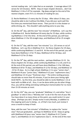normal reading rate. Let's take that as an example. (I average about 125 verses for 10 minutes). NOTE: Stop at major chapter divisions… don't do Matthew 1:1 thru 5:37 for example. Dig deep and get to the end of the nearest chapter, even if it's 11 minutes of reading for you.

2) Recite Matthew 1-5 every day for 25 days. After about 15 days, you should be able to do it without the Bible, if you did your work well the first Ɵme you memorized these verses. Then just do it in the shower or while driving, etc. This shouldn't add anything extra to your day.

3) On the 26<sup>th</sup> day, add the next "ten minutes" of Matthew. Let's say this is Matthew 6-8. Recite Matthew 6-8 every day for 25 days, while continuing Matthew 1-5 for this time. At the end of this period, you will have done Matthew 1-5 for 50 straight days, and Matthew 6-8 for 25 straight days.

4) On the  $51<sup>st</sup>$  day, add the next "ten minutes" (i.e. 125 verses or so) of Matthew. Let's say this is Matthew 9-12. Do these chapters for 25 days, while continuing Matthew 1-5 and 6-8. At the end of this period, you will have done Matthew 1-5 for 75 days, Matthew 6-8 for 50 days, and Matthew 9-12 for 25 days.

5) On the 76<sup>th</sup> day, add the next section... perhaps Matthew 13-15. Do these chapters for 25 days, while continuing Matthew 1-5, 6-8, and 9-12. At the end of this period, you will have done Matthew 1-5 for 100 days, Matthew 6-8 for 75 days, and Matthew 9-12 for 50 days, and Matthew 13 -15 for 25 days. As in a high school, Matthew 1-5 is your "senior class", Matthew 6-8 your "junior class," Matthew 9-12 your "sophomore class," and Matthew 13-15 your "freshman class." The entire reciting process should take no more than 45 minutes, if you've done your timing right. ALSO NOTE... by this time, you should be able to recite Matthew 1-12 at least with no Bible at all… thus, it can be done while you do other things… thus, you will be sitting and doing nothing but memorization for no more than 15-20 minutes at most.

6) On the 101<sup>st</sup> day, you can "graduate" Matthew 1-5, and either "kiss it goodbye" or stick it into a "Monday slot" to do it for the rest of your life. You have done it so many times at this point, you could recite it in your sleep. (Perhaps you do!) Simply recite it every Monday, in addition to the ongoing work you're doing… or, of that's too much, just review it once a month to keep it fresh.

Now, add the next "ten minutes" of Matthew, to replace the "senior class" that just graduated... perhaps its Matthew 16-19. Keep on going with Matthew 6-8 (your new "senior class"), Matthew 9-12 ("junior class"), and Matthew 13-15 ("sophomore class"). At the end of this next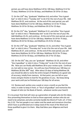period, you will have done Matthew 6-8 for 100 days, Matthew 9-12 for 75 days, Matthew 13-15 for 50 days, and Matthew 16-19 for 25 days.

7) On the  $126<sup>th</sup>$  day, "graduate" Matthew 6-8, and either "kiss it goodbye" or stick it into a "Tuesday slot" to do it for the rest of your life. Add Matthew 20-22, and continue. At the end of this next period, you will have done Matthew 9-12 for 100 days, Matthew 13-15 for 75 days, Matthew 16-19 for 50 days, and Matthew 20-22 for 25 days.

8) On the 151<sup>st</sup> day, "graduate" Matthew 9-12, and either "kiss it goodbye" or stick it into a "Wednesday slot" to do it for the rest of your life. Add Matthew 23-25, and continue. At the end of this next period, you will have done Matthew 13-15 for 100 days, Matthew 16-19 for 75 days, Matthew 20-22 for 50 days, and Matthew 23-25 for 25 days.

9) On the 176<sup>th</sup> day, "graduate" Matthew 13-15, and either "kiss it goodbye" or stick it into a "Thursday slot" to do it for the rest of your life. Add Matthew 26-27, and continue. At the end of this next period, you will have done Matthew 16-19 for 100 days, Matthew 20-22 for 75 days, Matthew 23-25 for 50 days, and Matthew 26-27 for 25 days.

10) On the 201 $^{\text{st}}$  day, you can "graduate" Matthew 16-19, and either "kiss it goodbye" or stick it into a "Friday slot" to do it for the rest of your life. Now you can finally add Matthew 28 to your review cycle. Continue on, but add no new verses. Go until you have finished your 100 days on Matthew 28 (the 300<sup>th</sup> day). After about 25 days of doing Matthew 28, you should be able to recite the entire Gospel of Matthew at a good rate of accuracy, totally from memory. At that point, you can fall on your knees and give thanks to God for His goodness to you. But keep doing your work until you've finished your 100 days for all verses.

11) Review each section one a week or once a month as you feel the need, in order to keep it fresh, or "kiss it all goodbye" and memorize the Gospel of John (or the Book of Daniel… whatever excites your heart!)

It is my prayer that God will raise up a generation of people who do this labor, thus presenting themselves to God as those approved, workers who do not need to be ashamed, and who correctly handle the Word of Truth. (cf. 2 Timothy 2:15) The lost people in our nation and the weak and immature churches which have so proliferated are in deep need of the meat of the Word and those qualified to give it to them. May God bless your diligence and hard work!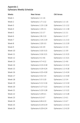### Appendix 1 Ephesians Weekly Schedule

| Weeks   | <b>New Verses</b>   | <b>Old Verses</b>  |
|---------|---------------------|--------------------|
| Week 1  | Ephesians 1:1-1:6   |                    |
| Week 2  | Ephesians 1:7-1:12  | Ephesians 1:1-1:6  |
| Week 3  | Ephesians 1:13-1:18 | Ephesians 1:1-1:12 |
| Week 4  | Ephesians 1:19-2:1  | Ephesians 1:1-1:18 |
| Week 5  | Ephesians 2:2-2:7   | Ephesians 1:1-2:1  |
| Week 6  | Ephesians 2:8-2:13  | Ephesians 1:1-2:7  |
| Week 7  | Ephesians 2:14-2:19 | Ephesians 1:1-2:13 |
| Week 8  | Ephesians 2:20-3:3  | Ephesians 1:1-2:19 |
| Week 9  | Ephesians 3:4-3:9   | Ephesians 1:1-3:3  |
| Week 10 | Ephesians 3:10-3:15 | Ephesians 1:1-3:9  |
| Week 11 | Ephesians 3:16-3:21 | Ephesians 1:1-3:15 |
| Week 12 | Ephesians 4:1-4:6   | Ephesians 1:1-3:21 |
| Week 13 | Ephesians 4:7-4:12  | Ephesians 1:1-4:6  |
| Week 14 | Ephesians 4:13-4:18 | Ephesians 1:1-4:12 |
| Week 15 | Ephesians 4:19-4:24 | Ephesians 1:1-4:18 |
| Week 16 | Ephesians 4:25-4:30 | Ephesians 1:1-4:24 |
| Week 17 | Ephesians 4:31-5:4  | Ephesians 1:1-4:30 |
| Week 18 | Ephesians 5:5-5:10  | Ephesians 1:1-5:4  |
| Week 19 | Ephesians 5:11-5:16 | Ephesians 1:1-5:10 |
| Week 20 | Ephesians 5:17-5:22 | Ephesians 1:1-5:16 |
| Week 21 | Ephesians 5:23-5:28 | Ephesians 1:1-5:22 |
| Week 22 | Ephesians 5:29-6:1  | Ephesians 1:1-5:28 |
| Week 23 | Ephesians 6:2-6:7   | Ephesians 1:1-6:1  |
| Week 24 | Ephesians 6:8-6:13  | Ephesians 1:1-6:7  |
| Week 25 | Ephesians 6:14-6:19 | Ephesians 1:1-6:13 |
| Week 26 | Ephesians 6:20-6:24 | Ephesians 1:1-6:19 |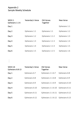#### Appendix 2 Sample Weekly Schedule

| WEEK 1<br>Ephesians 1:1-6 | Yesterday's Verse | Old Verses<br>Together | <b>New Verse</b> |
|---------------------------|-------------------|------------------------|------------------|
| Day 1                     |                   |                        | Ephesians 1:1    |
| Day 2                     | Ephesians 1:1     | Ephesians 1:1          | Ephesians 1:2    |
| Day 3                     | Ephesians 1:2     | Ephesians 1:1-2        | Ephesians 1:3    |
| Day 4                     | Ephesians 1:3     | Ephesians 1:1-3        | Ephesians 1:4    |
| Day 5                     | Ephesians 1:4     | Ephesians 1:1-4        | Ephesians 1:5    |
| Day 6                     | Ephesians 1:5     | Ephesians 1:1-5        | Ephesians 1:6    |

 $\frac{1}{2}$ 

| WEEK 24<br>Ephesians 6:8-13 | Yesterday's Verse | Old Verses<br>Together | <b>New Verse</b> |
|-----------------------------|-------------------|------------------------|------------------|
| Day 1                       | Ephesians 6:7     | Ephesians 1:1-6:7      | Ephesians 6:8    |
| Day 2                       | Ephesians 6:8     | Ephesians 1:1-6:8      | Ephesians 6:9    |
| Day 3                       | Ephesians 6:9     | Ephesians 1:1-6:9      | Ephesians 6:10   |
| Day 4                       | Ephesians 6:10    | Ephesians $1:1-6:10$   | Ephesians 6:11   |
| Day 5                       | Ephesians 6:11    | Ephesians $1:1-6:11$   | Ephesians 6:12   |
| Day 6                       | Ephesians 6:12    | Ephesians $1:1-6:12$   | Ephesians 6:13   |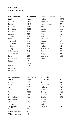### Appendix 3 Verses per book

| Old Testament | Number of     | Song of Solomon | 117  |
|---------------|---------------|-----------------|------|
| <b>Books</b>  | <b>Verses</b> | Isaiah          | 1292 |
| Genesis       | 1533          | Jeremiah        | 1364 |
| Exodus        | 1213          | Lamentations    | 154  |
| Leviticus     | 859           | Ezekiel         | 1273 |
| Numbers       | 1288          | Daniel          | 357  |
| Deuteronomy   | 959           | Hosea           | 197  |
| Joshua        | 658           | Joel            | 73   |
| Judges        | 618           | Amos            | 146  |
| Ruth          | 85            | Obadiah         | 21   |
| 1 Samuel      | 810           | Jonah           | 48   |
| 2 Samuel      | 695           | Micah           | 105  |
| 1 Kings       | 816           | Nahum           | 47   |
| 2 Kings       | 719           | <b>Habakkuk</b> | 56   |
| 1 Chronicles  | 942           | Zephaniah       | 53   |
| 2 Chronicles  | 822           | Haggai          | 38   |
| Ezra          | 280           | Zechariah       | 211  |
| Nehemiah      | 406           | Malachi         | 55   |
| Esther        | 467           |                 |      |
| Job           | 1070          |                 |      |
| Psalm         | 2461          |                 |      |
| Proverbs      | 915           |                 |      |
| Ecclesiastes  | 222           |                 |      |

| <b>New Testament</b> | Number of     | 1 Timothy      | 113 |
|----------------------|---------------|----------------|-----|
| <b>Books</b>         | <b>Verses</b> | 2 Timothy      | 83  |
| Matthew              | 1071          | Titus          | 46  |
| Mark                 | 678           | Philemon       | 25  |
| Luke                 | 1151          | <b>Hebrews</b> | 303 |
| John                 | 879           | James          | 108 |
| Acts                 | 1007          | 1 Peter        | 105 |
| Romans               | 433           | 2 Peter        | 61  |
| 1 Corinthians        | 437           | 1 John         | 105 |
| 2 Corinthians        | 257           | 2 John         | 13  |
| Galatians            | 149           | 3 John         | 14  |
| Ephesians            | 155           | Jude           | 25  |
| Philippians          | 104           | Revelation     | 404 |
| Colossians           | 95            |                |     |
| 1 Thessalonians      | 89            |                |     |
| 2 Thessalonians      | 47            |                |     |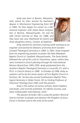*Andy was born in Boston, MassachuseƩs where he later earned his bachelor's degree in Mechanical Engineering from MIT in 1984. He then began his career as a Mechanical Engineer with Eaton-Nova Corpora-Ɵon in Beverly, MassachuseƩs. He and his wife ChrisƟ married on May 14, 1988, and they have two sons (Nathaniel & Calvin) and three daughters (Jenny, Carolyn, & Daphne).* 



*Andy started his seminary training while working as an engineer and earned his Masters of Divinity from Gordon-Conwell Theological Seminary in 1990. In 1992, Andy resigned from his engineering posiƟon to pastor the New Meadows Baptist Church in Topsfield, Massachusetts. The Davis family followed the call of the Lord to Tokushima, Japan, where they were involved in church planting through the International Mission Board from 1993-1995. Andy graduated from the Southern BapƟst Theological Seminary in Louisville, KY, with a Ph.D. in Church History in 1998. In October of 1998, Andy accepted a call to be the senior pastor of First BapƟst Church in* Durham, NC. He has also served Southeastern Baptist Theo*logical Seminary in Wake Forest, NC as Visiting Professor of Historical Theology from 2005 unƟl the present.* 

*Andy is the author of various arƟcles, book chapters, and books, and recently published An Infinite Journey, publisher Ambassador InternaƟonal, 2014.* 

*The passion of Andy's life is using the perfect Word of God to minister to people and advance the Kingdom of Jesus Christ in Durham and to the ends of the earth.*